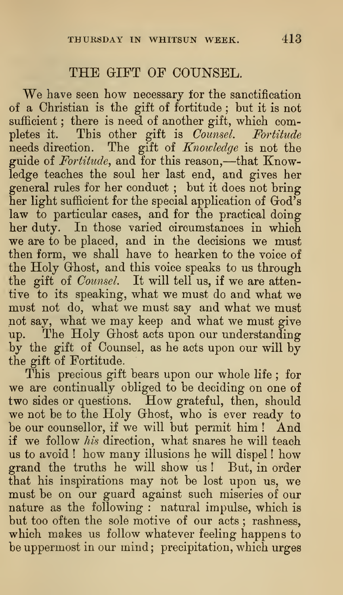## THE GIFT OF COUNSEL.

We have seen how necessary for the sanctification of a Christian is the gift of fortitude ; but it is not sufficient; there is need of another gift, which completes it. This other gift is Counsel. Fortitude needs direction. The gift of Knowledge is not the guide of *Fortitude*, and for this reason,—that Knowledge teaches the soul her last end, and gives her general rules for her conduct ; but it does not bring her light sufficient for the special application of God's law to particular cases, and for the practical doing her duty. In those varied circumstances in which we are to be placed, and in the decisions we must then form, we shall have to hearken to the voice of the Holy Ghost, and this voice speaks to us through the gift of *Counsel*. It will tell us, if we are attentive to its speaking, what we must do and what we must not do, what we must say and what we must not say, what we may keep and what we must give up. The Holy Ghost acts upon our understanding by the gift of Counsel, as he acts upon our will by the gift of Fortitude.

This precious gift bears upon our whole life ; for we are continually obliged to be deciding on one of two sides or questions. How grateful, then, should we not be to the Holy Ghost, who is ever ready to be our counsellor, if we will but permit him ! And if we follow his direction, what snares he will teach us to avoid ! how many illusions he will dispel ! how grand the truths he will show us ! But, in order that his inspirations may not be lost upon us, we must be on our guard against such miseries of our nature as the following : natural impulse, which is but too often the sole motive of our acts ; rashness, which makes us follow whatever feeling happens to be uppermost in our mind; precipitation, which urges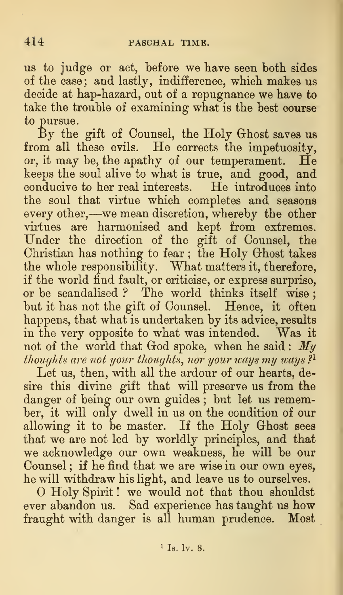us to judge or act, before we have seen both sides of the case; and lastly, indifference, which makes us decide at hap-hazard, out of a repugnance we have to take the trouble of examining what is the best course to pursue.

By the gift of Counsel, the Holy Ghost saves us from all these evils. He corrects the impetuosity, or, it may be, the apathy of our temperament.  $\tilde{H}e$ keeps the soul alive to what is true, and good, and conducive to her real interests. He introduces into the soul that virtue which completes and seasons every other,—we mean discretion, whereby the other virtues are harmonised and kept from extremes. Under the direction of the gift of Counsel, the Christian has nothing to fear ; the Holy Ghost takes the whole responsibility. What matters it, therefore, if the world find fault, or criticise, or express surprise, or be scandalised ? The world thinks itself wise ; but it has not the gift of Counsel. Hence, it often happens, that what is undertaken by its advice, results in the very opposite to what was intended. Was it not of the world that God spoke, when he said:  $My$ thoughts are not your thoughts, nor your ways my ways  $?^{1}$ 

Let us, then, with all the ardour of our hearts, desire this divine gift that will preserve us from the danger of being our own guides ; but let us remember, it will only dwell in us on the condition of our allowing it to be master. If the Holy Ghost sees that we are not led by worldly principles, and that we acknowledge our own weakness, he will be our Counsel ; if he find that we are wise in our own eyes, he will withdraw his light, and leave us to ourselves.

O Holy Spirit! we would not that thou shouldst ever abandon us. Sad experience has taught us how fraught with danger is all human prudence. Most